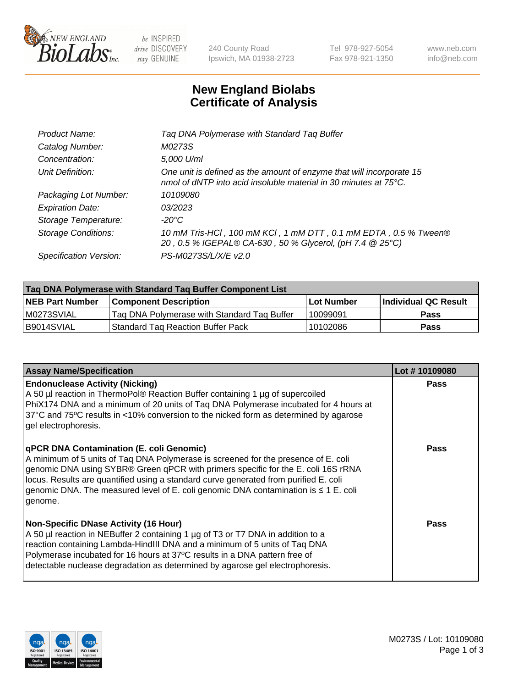

 $be$  INSPIRED drive DISCOVERY stay GENUINE

240 County Road Ipswich, MA 01938-2723 Tel 978-927-5054 Fax 978-921-1350 www.neb.com info@neb.com

## **New England Biolabs Certificate of Analysis**

| Tag DNA Polymerase with Standard Tag Buffer                                                                                              |
|------------------------------------------------------------------------------------------------------------------------------------------|
| M0273S                                                                                                                                   |
| 5,000 U/ml                                                                                                                               |
| One unit is defined as the amount of enzyme that will incorporate 15<br>nmol of dNTP into acid insoluble material in 30 minutes at 75°C. |
| 10109080                                                                                                                                 |
| 03/2023                                                                                                                                  |
| $-20^{\circ}$ C                                                                                                                          |
| 10 mM Tris-HCl, 100 mM KCl, 1 mM DTT, 0.1 mM EDTA, 0.5 % Tween®<br>20, 0.5 % IGEPAL® CA-630, 50 % Glycerol, (pH 7.4 @ 25°C)              |
| PS-M0273S/L/X/E v2.0                                                                                                                     |
|                                                                                                                                          |

| Tag DNA Polymerase with Standard Tag Buffer Component List |                                             |                   |                      |  |  |
|------------------------------------------------------------|---------------------------------------------|-------------------|----------------------|--|--|
| <b>NEB Part Number</b>                                     | <b>Component Description</b>                | <b>Lot Number</b> | Individual QC Result |  |  |
| M0273SVIAL                                                 | Tag DNA Polymerase with Standard Tag Buffer | 10099091          | <b>Pass</b>          |  |  |
| B9014SVIAL                                                 | <b>Standard Tag Reaction Buffer Pack</b>    | 10102086          | <b>Pass</b>          |  |  |

| <b>Assay Name/Specification</b>                                                                                                                                                                                                                                                                                                                                                                               | Lot #10109080 |
|---------------------------------------------------------------------------------------------------------------------------------------------------------------------------------------------------------------------------------------------------------------------------------------------------------------------------------------------------------------------------------------------------------------|---------------|
| <b>Endonuclease Activity (Nicking)</b><br>A 50 µl reaction in ThermoPol® Reaction Buffer containing 1 µg of supercoiled<br>PhiX174 DNA and a minimum of 20 units of Taq DNA Polymerase incubated for 4 hours at<br>37°C and 75°C results in <10% conversion to the nicked form as determined by agarose<br>gel electrophoresis.                                                                               | <b>Pass</b>   |
| qPCR DNA Contamination (E. coli Genomic)<br>A minimum of 5 units of Taq DNA Polymerase is screened for the presence of E. coli<br>genomic DNA using SYBR® Green qPCR with primers specific for the E. coli 16S rRNA<br>locus. Results are quantified using a standard curve generated from purified E. coli<br>genomic DNA. The measured level of E. coli genomic DNA contamination is ≤ 1 E. coli<br>genome. | <b>Pass</b>   |
| <b>Non-Specific DNase Activity (16 Hour)</b><br>A 50 µl reaction in NEBuffer 2 containing 1 µg of T3 or T7 DNA in addition to a<br>reaction containing Lambda-HindIII DNA and a minimum of 5 units of Taq DNA<br>Polymerase incubated for 16 hours at 37°C results in a DNA pattern free of<br>detectable nuclease degradation as determined by agarose gel electrophoresis.                                  | Pass          |

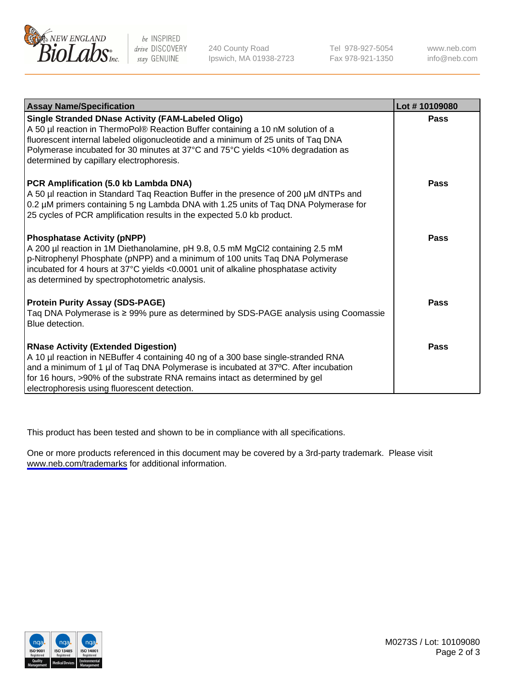

be INSPIRED drive DISCOVERY stay GENUINE

240 County Road Ipswich, MA 01938-2723 Tel 978-927-5054 Fax 978-921-1350

www.neb.com info@neb.com

| <b>Assay Name/Specification</b>                                                                                                                                                                                                                                                                                                                                  | Lot #10109080 |
|------------------------------------------------------------------------------------------------------------------------------------------------------------------------------------------------------------------------------------------------------------------------------------------------------------------------------------------------------------------|---------------|
| <b>Single Stranded DNase Activity (FAM-Labeled Oligo)</b><br>A 50 µl reaction in ThermoPol® Reaction Buffer containing a 10 nM solution of a<br>fluorescent internal labeled oligonucleotide and a minimum of 25 units of Taq DNA<br>Polymerase incubated for 30 minutes at 37°C and 75°C yields <10% degradation as<br>determined by capillary electrophoresis. | Pass          |
| PCR Amplification (5.0 kb Lambda DNA)<br>A 50 µl reaction in Standard Taq Reaction Buffer in the presence of 200 µM dNTPs and<br>0.2 µM primers containing 5 ng Lambda DNA with 1.25 units of Taq DNA Polymerase for<br>25 cycles of PCR amplification results in the expected 5.0 kb product.                                                                   | Pass          |
| <b>Phosphatase Activity (pNPP)</b><br>A 200 µl reaction in 1M Diethanolamine, pH 9.8, 0.5 mM MgCl2 containing 2.5 mM<br>p-Nitrophenyl Phosphate (pNPP) and a minimum of 100 units Taq DNA Polymerase<br>incubated for 4 hours at 37°C yields <0.0001 unit of alkaline phosphatase activity<br>as determined by spectrophotometric analysis.                      | Pass          |
| <b>Protein Purity Assay (SDS-PAGE)</b><br>Taq DNA Polymerase is ≥ 99% pure as determined by SDS-PAGE analysis using Coomassie<br>Blue detection.                                                                                                                                                                                                                 | <b>Pass</b>   |
| <b>RNase Activity (Extended Digestion)</b><br>A 10 µl reaction in NEBuffer 4 containing 40 ng of a 300 base single-stranded RNA<br>and a minimum of 1 µl of Taq DNA Polymerase is incubated at 37°C. After incubation<br>for 16 hours, >90% of the substrate RNA remains intact as determined by gel<br>electrophoresis using fluorescent detection.             | Pass          |

This product has been tested and shown to be in compliance with all specifications.

One or more products referenced in this document may be covered by a 3rd-party trademark. Please visit <www.neb.com/trademarks>for additional information.